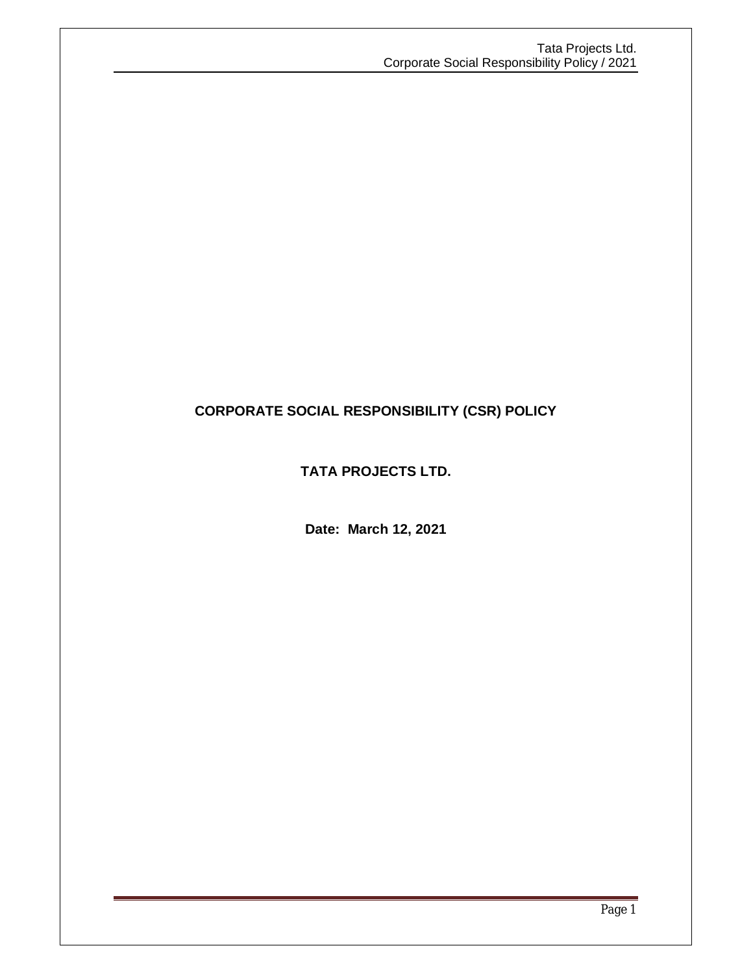# **CORPORATE SOCIAL RESPONSIBILITY (CSR) POLICY**

# **TATA PROJECTS LTD.**

**Date: March 12, 2021**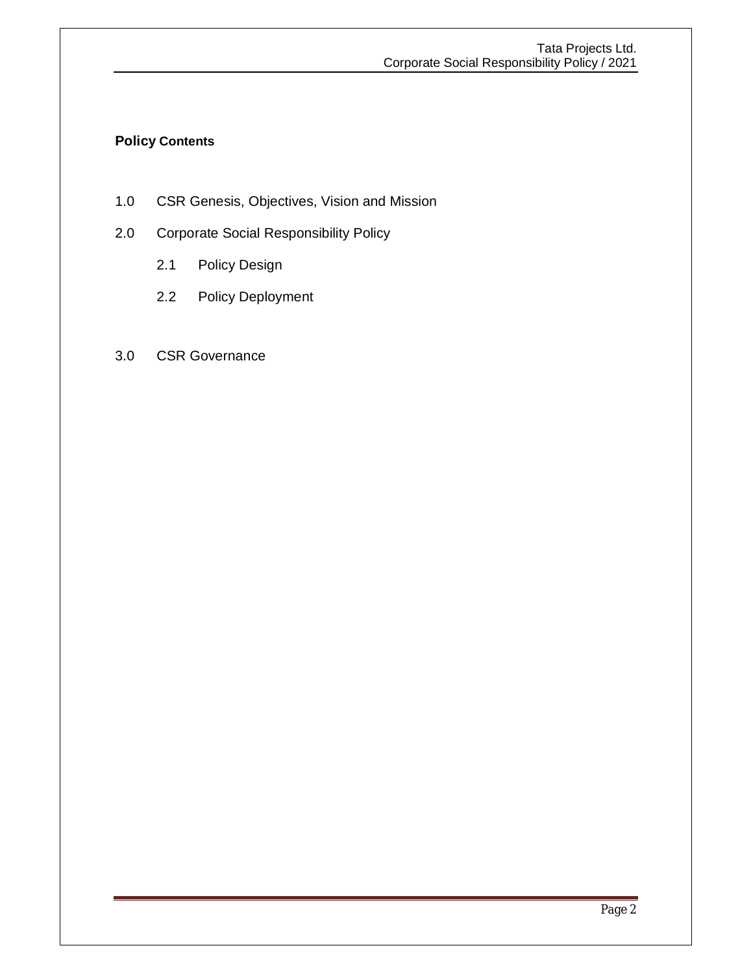### **Policy Contents**

- 1.0 CSR Genesis, Objectives, Vision and Mission
- 2.0 Corporate Social Responsibility Policy
	- 2.1 Policy Design
	- 2.2 Policy Deployment

### 3.0 CSR Governance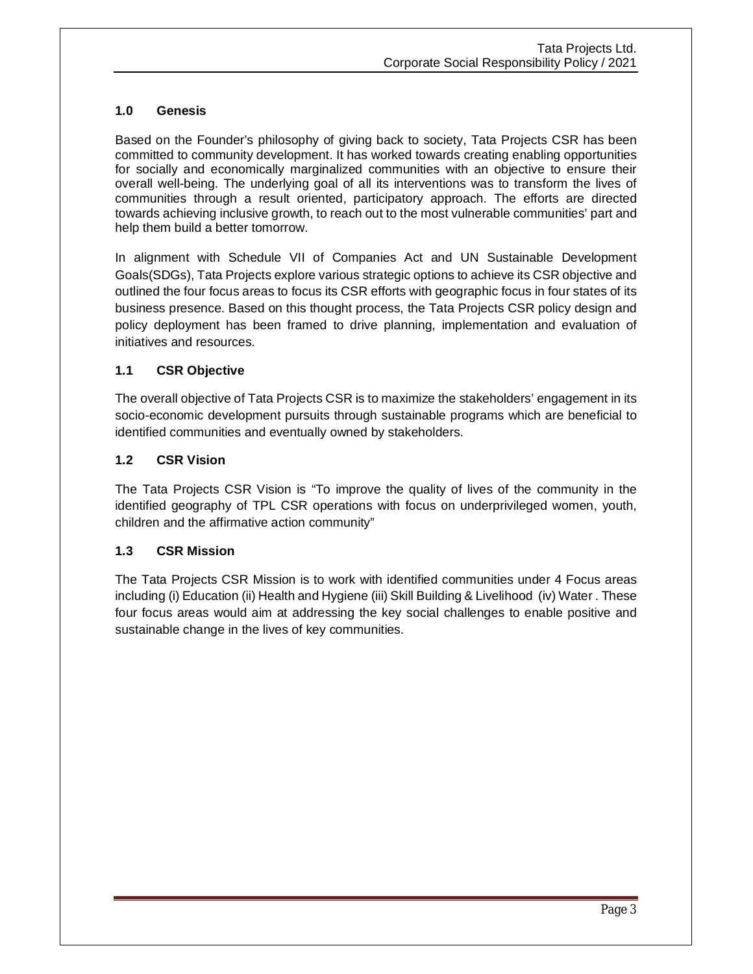### **1.0 Genesis**

Based on the Founder's philosophy of giving back to society, Tata Projects CSR has been committed to community development. It has worked towards creating enabling opportunities for socially and economically marginalized communities with an objective to ensure their overall well-being. The underlying goal of all its interventions was to transform the lives of communities through a result oriented, participatory approach. The efforts are directed towards achieving inclusive growth, to reach out to the most vulnerable communities' part and help them build a better tomorrow.

In alignment with Schedule VII of Companies Act and UN Sustainable Development Goals(SDGs), Tata Projects explore various strategic options to achieve its CSR objective and outlined the four focus areas to focus its CSR efforts with geographic focus in four states of its business presence. Based on this thought process, the Tata Projects CSR policy design and policy deployment has been framed to drive planning, implementation and evaluation of initiatives and resources.

### **1.1 CSR Objective**

The overall objective of Tata Projects CSR is to maximize the stakeholders' engagement in its socio-economic development pursuits through sustainable programs which are beneficial to identified communities and eventually owned by stakeholders.

### **1.2 CSR Vision**

The Tata Projects CSR Vision is "To improve the quality of lives of the community in the identified geography of TPL CSR operations with focus on underprivileged women, youth, children and the affirmative action community"

### **1.3 CSR Mission**

The Tata Projects CSR Mission is to work with identified communities under 4 Focus areas including (i) Education (ii) Health and Hygiene (iii) Skill Building & Livelihood (iv) Water . These four focus areas would aim at addressing the key social challenges to enable positive and sustainable change in the lives of key communities.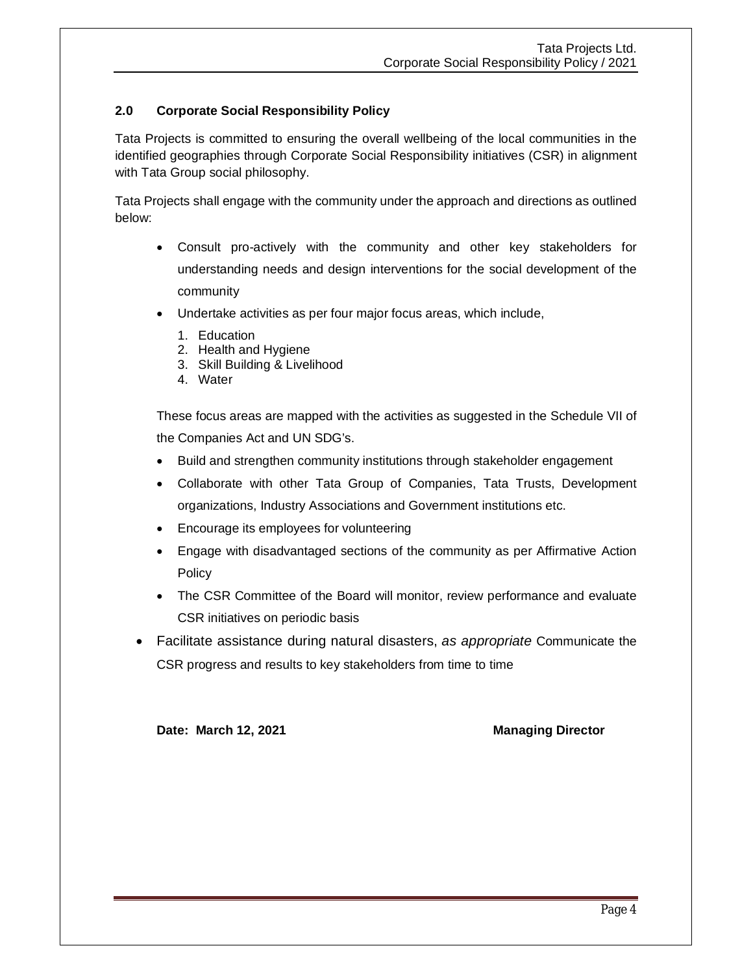### **2.0 Corporate Social Responsibility Policy**

Tata Projects is committed to ensuring the overall wellbeing of the local communities in the identified geographies through Corporate Social Responsibility initiatives (CSR) in alignment with Tata Group social philosophy.

Tata Projects shall engage with the community under the approach and directions as outlined below:

- Consult pro-actively with the community and other key stakeholders for understanding needs and design interventions for the social development of the community
- Undertake activities as per four major focus areas, which include,
	- 1. Education
	- 2. Health and Hygiene
	- 3. Skill Building & Livelihood
	- 4. Water

These focus areas are mapped with the activities as suggested in the Schedule VII of the Companies Act and UN SDG's.

- Build and strengthen community institutions through stakeholder engagement
- Collaborate with other Tata Group of Companies, Tata Trusts, Development organizations, Industry Associations and Government institutions etc.
- Encourage its employees for volunteering
- Engage with disadvantaged sections of the community as per Affirmative Action Policy
- The CSR Committee of the Board will monitor, review performance and evaluate CSR initiatives on periodic basis
- Facilitate assistance during natural disasters, *as appropriate* Communicate the CSR progress and results to key stakeholders from time to time

**Date: March 12, 2021 Managing Director**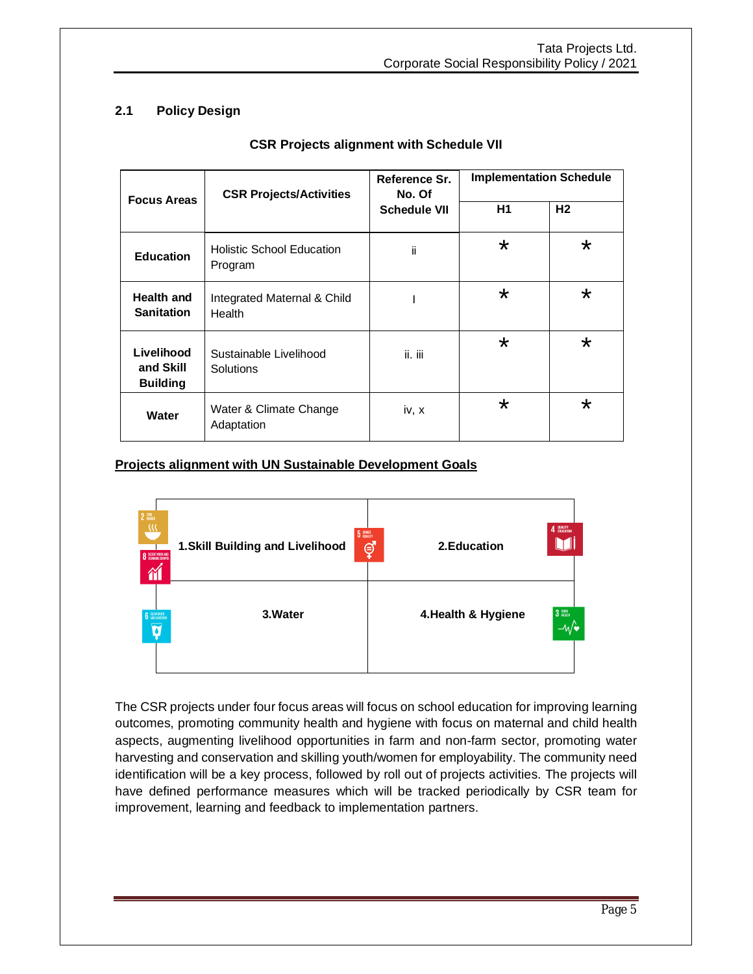## **2.1 Policy Design**

| <b>Focus Areas</b>                         | <b>CSR Projects/Activities</b>              | Reference Sr.<br>No. Of<br><b>Schedule VII</b> | <b>Implementation Schedule</b> |                |
|--------------------------------------------|---------------------------------------------|------------------------------------------------|--------------------------------|----------------|
|                                            |                                             |                                                | H1                             | H <sub>2</sub> |
| <b>Education</b>                           | <b>Holistic School Education</b><br>Program | ii.                                            | $\star$                        | $\star$        |
| <b>Health and</b><br><b>Sanitation</b>     | Integrated Maternal & Child<br>Health       |                                                | $\star$                        | $\star$        |
| Livelihood<br>and Skill<br><b>Building</b> | Sustainable Livelihood<br>Solutions         | ii. iii                                        | $\star$                        | $\star$        |
| Water                                      | Water & Climate Change<br>Adaptation        | iv, x                                          | $\star$                        | $\star$        |

### **CSR Projects alignment with Schedule VII**

### **Projects alignment with UN Sustainable Development Goals**



The CSR projects under four focus areas will focus on school education for improving learning outcomes, promoting community health and hygiene with focus on maternal and child health aspects, augmenting livelihood opportunities in farm and non-farm sector, promoting water harvesting and conservation and skilling youth/women for employability. The community need identification will be a key process, followed by roll out of projects activities. The projects will have defined performance measures which will be tracked periodically by CSR team for improvement, learning and feedback to implementation partners.